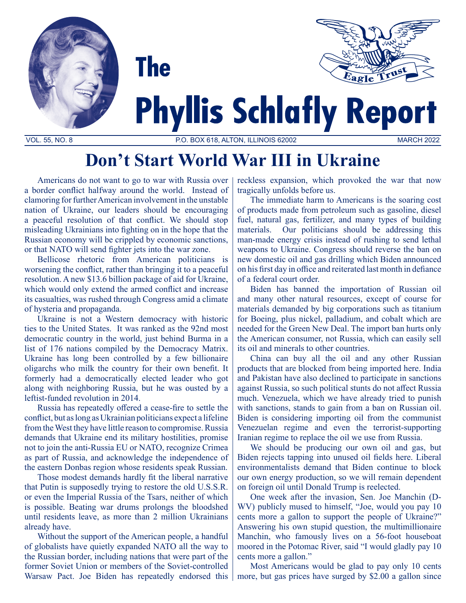

# **Don't Start World War III in Ukraine**

Americans do not want to go to war with Russia over a border conflict halfway around the world. Instead of clamoring for further American involvement in the unstable nation of Ukraine, our leaders should be encouraging a peaceful resolution of that conflict. We should stop misleading Ukrainians into fighting on in the hope that the Russian economy will be crippled by economic sanctions, or that NATO will send fighter jets into the war zone.

Bellicose rhetoric from American politicians is worsening the conflict, rather than bringing it to a peaceful resolution. A new \$13.6 billion package of aid for Ukraine, which would only extend the armed conflict and increase its casualties, was rushed through Congress amid a climate of hysteria and propaganda.

Ukraine is not a Western democracy with historic ties to the United States. It was ranked as the 92nd most democratic country in the world, just behind Burma in a list of 176 nations compiled by the Democracy Matrix. Ukraine has long been controlled by a few billionaire oligarchs who milk the country for their own benefit. It formerly had a democratically elected leader who got along with neighboring Russia, but he was ousted by a leftist-funded revolution in 2014.

Russia has repeatedly offered a cease-fire to settle the conflict, but as long as Ukrainian politicians expect a lifeline from the West they have little reason to compromise. Russia demands that Ukraine end its military hostilities, promise not to join the anti-Russia EU or NATO, recognize Crimea as part of Russia, and acknowledge the independence of the eastern Donbas region whose residents speak Russian.

Those modest demands hardly fit the liberal narrative that Putin is supposedly trying to restore the old U.S.S.R. or even the Imperial Russia of the Tsars, neither of which is possible. Beating war drums prolongs the bloodshed until residents leave, as more than 2 million Ukrainians already have.

Without the support of the American people, a handful of globalists have quietly expanded NATO all the way to the Russian border, including nations that were part of the former Soviet Union or members of the Soviet-controlled Warsaw Pact. Joe Biden has repeatedly endorsed this reckless expansion, which provoked the war that now tragically unfolds before us.

The immediate harm to Americans is the soaring cost of products made from petroleum such as gasoline, diesel fuel, natural gas, fertilizer, and many types of building materials. Our politicians should be addressing this man-made energy crisis instead of rushing to send lethal weapons to Ukraine. Congress should reverse the ban on new domestic oil and gas drilling which Biden announced on his first day in office and reiterated last month in defiance of a federal court order.

Biden has banned the importation of Russian oil and many other natural resources, except of course for materials demanded by big corporations such as titanium for Boeing, plus nickel, palladium, and cobalt which are needed for the Green New Deal. The import ban hurts only the American consumer, not Russia, which can easily sell its oil and minerals to other countries.

China can buy all the oil and any other Russian products that are blocked from being imported here. India and Pakistan have also declined to participate in sanctions against Russia, so such political stunts do not affect Russia much. Venezuela, which we have already tried to punish with sanctions, stands to gain from a ban on Russian oil. Biden is considering importing oil from the communist Venezuelan regime and even the terrorist-supporting Iranian regime to replace the oil we use from Russia.

We should be producing our own oil and gas, but Biden rejects tapping into unused oil fields here. Liberal environmentalists demand that Biden continue to block our own energy production, so we will remain dependent on foreign oil until Donald Trump is reelected.

One week after the invasion, Sen. Joe Manchin (D-WV) publicly mused to himself, "Joe, would you pay 10 cents more a gallon to support the people of Ukraine?" Answering his own stupid question, the multimillionaire Manchin, who famously lives on a 56-foot houseboat moored in the Potomac River, said "I would gladly pay 10 cents more a gallon."

Most Americans would be glad to pay only 10 cents more, but gas prices have surged by \$2.00 a gallon since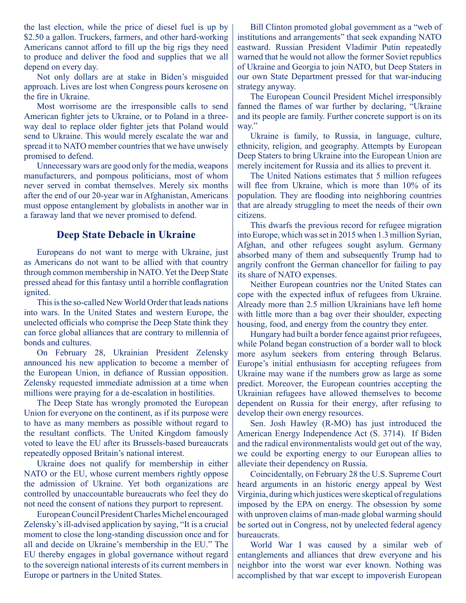the last election, while the price of diesel fuel is up by \$2.50 a gallon. Truckers, farmers, and other hard-working Americans cannot afford to fill up the big rigs they need to produce and deliver the food and supplies that we all depend on every day.

Not only dollars are at stake in Biden's misguided approach. Lives are lost when Congress pours kerosene on the fire in Ukraine.

Most worrisome are the irresponsible calls to send American fighter jets to Ukraine, or to Poland in a threeway deal to replace older fighter jets that Poland would send to Ukraine. This would merely escalate the war and spread it to NATO member countries that we have unwisely promised to defend.

Unnecessary wars are good only for the media, weapons manufacturers, and pompous politicians, most of whom never served in combat themselves. Merely six months after the end of our 20-year war in Afghanistan, Americans must oppose entanglement by globalists in another war in a faraway land that we never promised to defend.

## **Deep State Debacle in Ukraine**

Europeans do not want to merge with Ukraine, just as Americans do not want to be allied with that country through common membership in NATO. Yet the Deep State pressed ahead for this fantasy until a horrible conflagration ignited.

This is the so-called New World Order that leads nations into wars. In the United States and western Europe, the unelected officials who comprise the Deep State think they can force global alliances that are contrary to millennia of bonds and cultures.

On February 28, Ukrainian President Zelensky announced his new application to become a member of the European Union, in defiance of Russian opposition. Zelensky requested immediate admission at a time when millions were praying for a de-escalation in hostilities.

The Deep State has wrongly promoted the European Union for everyone on the continent, as if its purpose were to have as many members as possible without regard to the resultant conflicts. The United Kingdom famously voted to leave the EU after its Brussels-based bureaucrats repeatedly opposed Britain's national interest.

Ukraine does not qualify for membership in either NATO or the EU, whose current members rightly oppose the admission of Ukraine. Yet both organizations are controlled by unaccountable bureaucrats who feel they do not need the consent of nations they purport to represent.

European Council President Charles Michel encouraged Zelensky's ill-advised application by saying, "It is a crucial moment to close the long-standing discussion once and for all and decide on Ukraine's membership in the EU." The EU thereby engages in global governance without regard to the sovereign national interests of its current members in Europe or partners in the United States.

Bill Clinton promoted global government as a "web of institutions and arrangements" that seek expanding NATO eastward. Russian President Vladimir Putin repeatedly warned that he would not allow the former Soviet republics of Ukraine and Georgia to join NATO, but Deep Staters in our own State Department pressed for that war-inducing strategy anyway.

The European Council President Michel irresponsibly fanned the flames of war further by declaring, "Ukraine and its people are family. Further concrete support is on its way."

Ukraine is family, to Russia, in language, culture, ethnicity, religion, and geography. Attempts by European Deep Staters to bring Ukraine into the European Union are merely incitement for Russia and its allies to prevent it.

The United Nations estimates that 5 million refugees will flee from Ukraine, which is more than 10% of its population. They are flooding into neighboring countries that are already struggling to meet the needs of their own citizens.

This dwarfs the previous record for refugee migration into Europe, which was set in 2015 when 1.3 million Syrian, Afghan, and other refugees sought asylum. Germany absorbed many of them and subsequently Trump had to angrily confront the German chancellor for failing to pay its share of NATO expenses.

Neither European countries nor the United States can cope with the expected influx of refugees from Ukraine. Already more than 2.5 million Ukrainians have left home with little more than a bag over their shoulder, expecting housing, food, and energy from the country they enter.

Hungary had built a border fence against prior refugees, while Poland began construction of a border wall to block more asylum seekers from entering through Belarus. Europe's initial enthusiasm for accepting refugees from Ukraine may wane if the numbers grow as large as some predict. Moreover, the European countries accepting the Ukrainian refugees have allowed themselves to become dependent on Russia for their energy, after refusing to develop their own energy resources.

Sen. Josh Hawley (R-MO) has just introduced the American Energy Independence Act (S. 3714). If Biden and the radical environmentalists would get out of the way, we could be exporting energy to our European allies to alleviate their dependency on Russia.

Coincidentally, on February 28 the U.S. Supreme Court heard arguments in an historic energy appeal by West Virginia, during which justices were skeptical of regulations imposed by the EPA on energy. The obsession by some with unproven claims of man-made global warming should be sorted out in Congress, not by unelected federal agency bureaucrats.

World War I was caused by a similar web of entanglements and alliances that drew everyone and his neighbor into the worst war ever known. Nothing was accomplished by that war except to impoverish European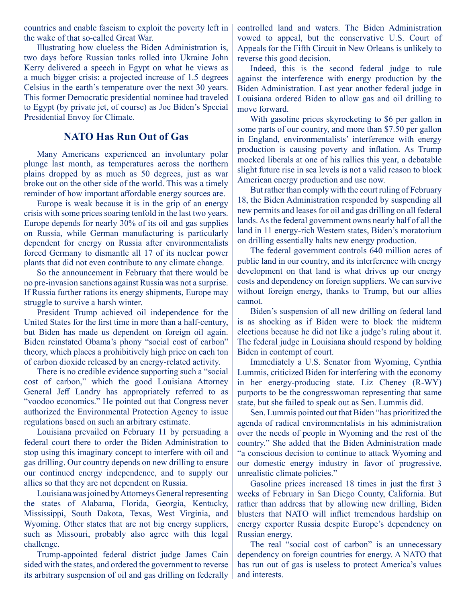countries and enable fascism to exploit the poverty left in the wake of that so-called Great War.

Illustrating how clueless the Biden Administration is, two days before Russian tanks rolled into Ukraine John Kerry delivered a speech in Egypt on what he views as a much bigger crisis: a projected increase of 1.5 degrees Celsius in the earth's temperature over the next 30 years. This former Democratic presidential nominee had traveled to Egypt (by private jet, of course) as Joe Biden's Special Presidential Envoy for Climate.

# **NATO Has Run Out of Gas**

Many Americans experienced an involuntary polar plunge last month, as temperatures across the northern plains dropped by as much as 50 degrees, just as war broke out on the other side of the world. This was a timely reminder of how important affordable energy sources are.

Europe is weak because it is in the grip of an energy crisis with some prices soaring tenfold in the last two years. Europe depends for nearly 30% of its oil and gas supplies on Russia, while German manufacturing is particularly dependent for energy on Russia after environmentalists forced Germany to dismantle all 17 of its nuclear power plants that did not even contribute to any climate change.

So the announcement in February that there would be no pre-invasion sanctions against Russia was not a surprise. If Russia further rations its energy shipments, Europe may struggle to survive a harsh winter.

President Trump achieved oil independence for the United States for the first time in more than a half-century, but Biden has made us dependent on foreign oil again. Biden reinstated Obama's phony "social cost of carbon" theory, which places a prohibitively high price on each ton of carbon dioxide released by an energy-related activity.

There is no credible evidence supporting such a "social cost of carbon," which the good Louisiana Attorney General Jeff Landry has appropriately referred to as "voodoo economics." He pointed out that Congress never authorized the Environmental Protection Agency to issue regulations based on such an arbitrary estimate.

Louisiana prevailed on February 11 by persuading a federal court there to order the Biden Administration to stop using this imaginary concept to interfere with oil and gas drilling. Our country depends on new drilling to ensure our continued energy independence, and to supply our allies so that they are not dependent on Russia.

Louisiana was joined by Attorneys General representing the states of Alabama, Florida, Georgia, Kentucky, Mississippi, South Dakota, Texas, West Virginia, and Wyoming. Other states that are not big energy suppliers, such as Missouri, probably also agree with this legal challenge.

Trump-appointed federal district judge James Cain sided with the states, and ordered the government to reverse its arbitrary suspension of oil and gas drilling on federally controlled land and waters. The Biden Administration vowed to appeal, but the conservative U.S. Court of Appeals for the Fifth Circuit in New Orleans is unlikely to reverse this good decision.

Indeed, this is the second federal judge to rule against the interference with energy production by the Biden Administration. Last year another federal judge in Louisiana ordered Biden to allow gas and oil drilling to move forward.

With gasoline prices skyrocketing to \$6 per gallon in some parts of our country, and more than \$7.50 per gallon in England, environmentalists' interference with energy production is causing poverty and inflation. As Trump mocked liberals at one of his rallies this year, a debatable slight future rise in sea levels is not a valid reason to block American energy production and use now.

But rather than comply with the court ruling of February 18, the Biden Administration responded by suspending all new permits and leases for oil and gas drilling on all federal lands. As the federal government owns nearly half of all the land in 11 energy-rich Western states, Biden's moratorium on drilling essentially halts new energy production.

The federal government controls 640 million acres of public land in our country, and its interference with energy development on that land is what drives up our energy costs and dependency on foreign suppliers. We can survive without foreign energy, thanks to Trump, but our allies cannot.

Biden's suspension of all new drilling on federal land is as shocking as if Biden were to block the midterm elections because he did not like a judge's ruling about it. The federal judge in Louisiana should respond by holding Biden in contempt of court.

Immediately a U.S. Senator from Wyoming, Cynthia Lummis, criticized Biden for interfering with the economy in her energy-producing state. Liz Cheney (R-WY) purports to be the congresswoman representing that same state, but she failed to speak out as Sen. Lummis did.

Sen. Lummis pointed out that Biden "has prioritized the agenda of radical environmentalists in his administration over the needs of people in Wyoming and the rest of the country." She added that the Biden Administration made "a conscious decision to continue to attack Wyoming and our domestic energy industry in favor of progressive, unrealistic climate policies."

Gasoline prices increased 18 times in just the first 3 weeks of February in San Diego County, California. But rather than address that by allowing new drilling, Biden blusters that NATO will inflict tremendous hardship on energy exporter Russia despite Europe's dependency on Russian energy.

The real "social cost of carbon" is an unnecessary dependency on foreign countries for energy. A NATO that has run out of gas is useless to protect America's values and interests.